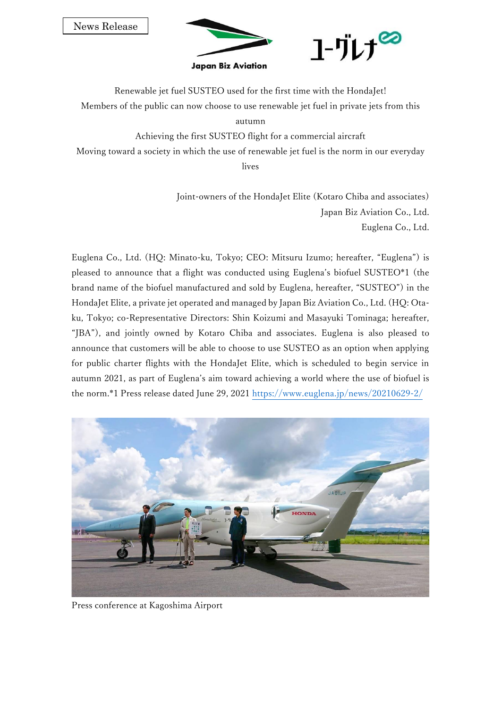News Release



Renewable jet fuel SUSTEO used for the first time with the HondaJet! Members of the public can now choose to use renewable jet fuel in private jets from this

autumn

Achieving the first SUSTEO flight for a commercial aircraft

Moving toward a society in which the use of renewable jet fuel is the norm in our everyday

lives

Joint-owners of the HondaJet Elite (Kotaro Chiba and associates) Japan Biz Aviation Co., Ltd. Euglena Co., Ltd.

Euglena Co., Ltd. (HQ: Minato-ku, Tokyo; CEO: Mitsuru Izumo; hereafter, "Euglena") is pleased to announce that a flight was conducted using Euglena's biofuel SUSTEO\*1 (the brand name of the biofuel manufactured and sold by Euglena, hereafter, "SUSTEO") in the HondaJet Elite, a private jet operated and managed by Japan Biz Aviation Co., Ltd. (HQ: Otaku, Tokyo; co-Representative Directors: Shin Koizumi and Masayuki Tominaga; hereafter, "JBA"), and jointly owned by Kotaro Chiba and associates. Euglena is also pleased to announce that customers will be able to choose to use SUSTEO as an option when applying for public charter flights with the HondaJet Elite, which is scheduled to begin service in autumn 2021, as part of Euglena's aim toward achieving a world where the use of biofuel is the norm.\*1 Press release dated June 29, 2021<https://www.euglena.jp/news/20210629-2/>



Press conference at Kagoshima Airport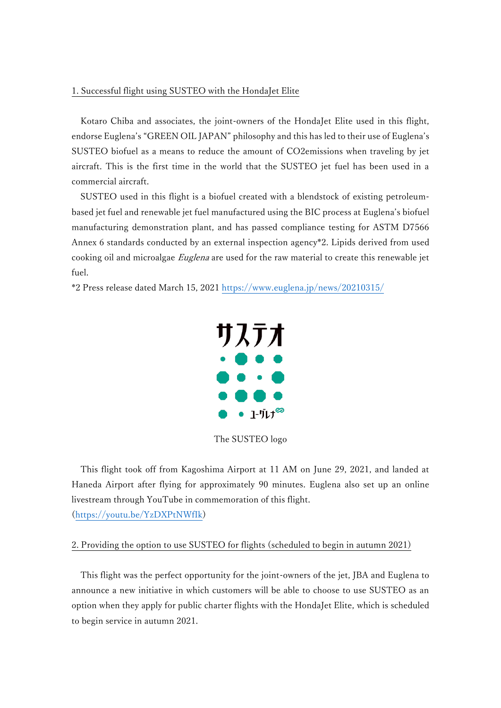# 1. Successful flight using SUSTEO with the HondaJet Elite

Kotaro Chiba and associates, the joint-owners of the HondaJet Elite used in this flight, endorse Euglena's "GREEN OIL JAPAN" philosophy and this has led to their use of Euglena's SUSTEO biofuel as a means to reduce the amount of CO2emissions when traveling by jet aircraft. This is the first time in the world that the SUSTEO jet fuel has been used in a commercial aircraft.

SUSTEO used in this flight is a biofuel created with a blendstock of existing petroleumbased jet fuel and renewable jet fuel manufactured using the BIC process at Euglena's biofuel manufacturing demonstration plant, and has passed compliance testing for ASTM D7566 Annex 6 standards conducted by an external inspection agency\*2. Lipids derived from used cooking oil and microalgae Euglena are used for the raw material to create this renewable jet fuel.

\*2 Press release dated March 15, 2021<https://www.euglena.jp/news/20210315/>



The SUSTEO logo

This flight took off from Kagoshima Airport at 11 AM on June 29, 2021, and landed at Haneda Airport after flying for approximately 90 minutes. Euglena also set up an online livestream through YouTube in commemoration of this flight. [\(https://youtu.be/YzDXPtNWfIk\)](https://youtu.be/YzDXPtNWfIk)

### 2. Providing the option to use SUSTEO for flights (scheduled to begin in autumn 2021)

This flight was the perfect opportunity for the joint-owners of the jet, JBA and Euglena to announce a new initiative in which customers will be able to choose to use SUSTEO as an option when they apply for public charter flights with the HondaJet Elite, which is scheduled to begin service in autumn 2021.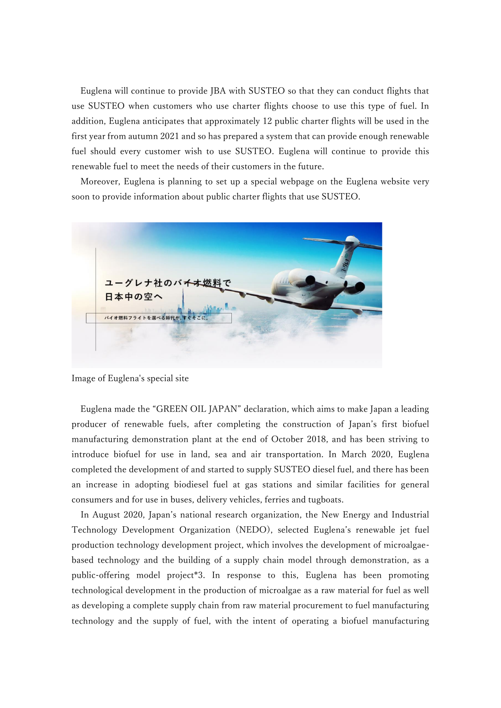Euglena will continue to provide JBA with SUSTEO so that they can conduct flights that use SUSTEO when customers who use charter flights choose to use this type of fuel. In addition, Euglena anticipates that approximately 12 public charter flights will be used in the first year from autumn 2021 and so has prepared a system that can provide enough renewable fuel should every customer wish to use SUSTEO. Euglena will continue to provide this renewable fuel to meet the needs of their customers in the future.

Moreover, Euglena is planning to set up a special webpage on the Euglena website very soon to provide information about public charter flights that use SUSTEO.



Image of Euglena's special site

Euglena made the "GREEN OIL JAPAN" declaration, which aims to make Japan a leading producer of renewable fuels, after completing the construction of Japan's first biofuel manufacturing demonstration plant at the end of October 2018, and has been striving to introduce biofuel for use in land, sea and air transportation. In March 2020, Euglena completed the development of and started to supply SUSTEO diesel fuel, and there has been an increase in adopting biodiesel fuel at gas stations and similar facilities for general consumers and for use in buses, delivery vehicles, ferries and tugboats.

In August 2020, Japan's national research organization, the New Energy and Industrial Technology Development Organization (NEDO), selected Euglena's renewable jet fuel production technology development project, which involves the development of microalgaebased technology and the building of a supply chain model through demonstration, as a public-offering model project\*3. In response to this, Euglena has been promoting technological development in the production of microalgae as a raw material for fuel as well as developing a complete supply chain from raw material procurement to fuel manufacturing technology and the supply of fuel, with the intent of operating a biofuel manufacturing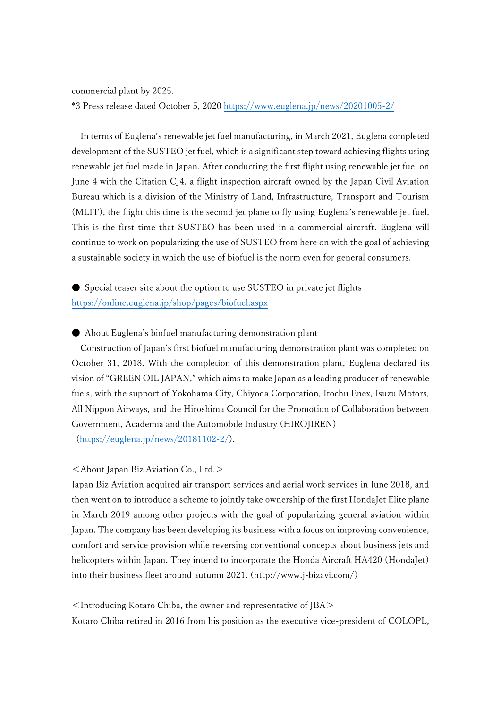commercial plant by 2025.

\*3 Press release dated October 5, 2020<https://www.euglena.jp/news/20201005-2/>

In terms of Euglena's renewable jet fuel manufacturing, in March 2021, Euglena completed development of the SUSTEO jet fuel, which is a significant step toward achieving flights using renewable jet fuel made in Japan. After conducting the first flight using renewable jet fuel on June 4 with the Citation CJ4, a flight inspection aircraft owned by the Japan Civil Aviation Bureau which is a division of the Ministry of Land, Infrastructure, Transport and Tourism (MLIT), the flight this time is the second jet plane to fly using Euglena's renewable jet fuel. This is the first time that SUSTEO has been used in a commercial aircraft. Euglena will continue to work on popularizing the use of SUSTEO from here on with the goal of achieving a sustainable society in which the use of biofuel is the norm even for general consumers.

● Special teaser site about the option to use SUSTEO in private jet flights <https://online.euglena.jp/shop/pages/biofuel.aspx>

## ● About Euglena's biofuel manufacturing demonstration plant

Construction of Japan's first biofuel manufacturing demonstration plant was completed on October 31, 2018. With the completion of this demonstration plant, Euglena declared its vision of "GREEN OIL JAPAN," which aims to make Japan as a leading producer of renewable fuels, with the support of Yokohama City, Chiyoda Corporation, Itochu Enex, Isuzu Motors, All Nippon Airways, and the Hiroshima Council for the Promotion of Collaboration between Government, Academia and the Automobile Industry (HIROJIREN)

[\(https://euglena.jp/news/20181102-2/\)](https://euglena.jp/news/20181102-2/).

# <About Japan Biz Aviation Co., Ltd.>

Japan Biz Aviation acquired air transport services and aerial work services in June 2018, and then went on to introduce a scheme to jointly take ownership of the first HondaJet Elite plane in March 2019 among other projects with the goal of popularizing general aviation within Japan. The company has been developing its business with a focus on improving convenience, comfort and service provision while reversing conventional concepts about business jets and helicopters within Japan. They intend to incorporate the Honda Aircraft HA420 (HondaJet) into their business fleet around autumn 2021. (http://www.j-bizavi.com/)

<Introducing Kotaro Chiba, the owner and representative of JBA> Kotaro Chiba retired in 2016 from his position as the executive vice-president of COLOPL,